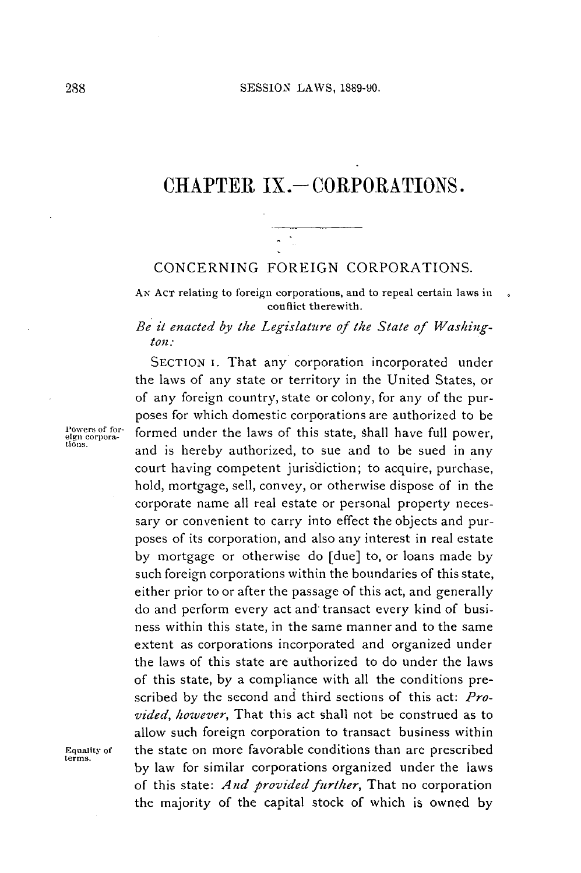# CHAPTER IX. - CORPORATIONS.

#### **CONCERNING FOREIGN** CORPORATIONS.

**AN ACT** relating to foreign corporations, and to repeal certain laws in conflict therewith.

#### *Be it enacted by the Legislature of the State of Washington:*

**SECTION** I. That any corporation incorporated under the laws of any state or territory in the United States, or of any foreign country, state or colony, for any of the purposes for which domestic corporations are authorized to be Powers of for-<br> **eign corpora- formed under the laws of this state, shall have full power,**<br> **tions.** and is hereby authorized, to sue and to be sued in any court having competent jurisdiction; to acquire, purchase, hold, mortgage, sell, convey, or otherwise dispose of in the corporate name all real estate or personal property necessary or convenient to carry into effect the objects and purposes of its corporation, and also any interest in real estate **by** mortgage or otherwise do [due] to, or loans made **by** such foreign corporations within the boundaries of this state, either prior to or after the passage of this act, and generally do and perform every act and transact every kind of business within this state, in the same manner and to the same extent as corporations incorporated and organized under the laws of this state are authorized to do under the laws of this state, **by** a compliance with all the conditions prescribed **by** the second and third sections of this act: *Provided, however,* That this act shall not be construed as to allow such foreign corporation to transact business within **Equality of** the state on more favorable conditions than are prescribed **terms. by** law for similar corporations organized under the laws of this state: *And provided further,* That no corporation the majority of the capital stock of which is owned **by**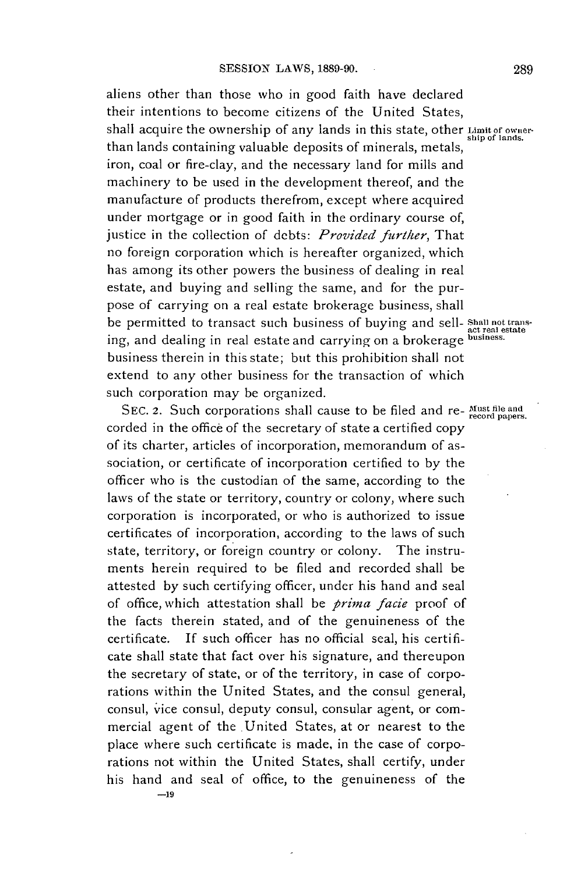aliens other than those who in good faith have declared their intentions to become citizens of the United States, shall acquire the ownership of any lands in this state, other **Limit of owner-** ship of lands. than lands containing valuable deposits of minerals, metals, iron, coal or fire-clay, and the necessary land for mills and machinery to be used in the development thereof, and the manufacture of products therefrom, except where acquired under mortgage or in good faith in the ordinary course of, justice in the collection of debts: *Provided further,* That no foreign corporation which is hereafter organized, which has among its other powers the business of dealing in real estate, and buying and selling the same, and for the purpose of carrying on a real estate brokerage business, shall **be** permitted to transact such business of buying and sell- **Shall** nottrans- **act real estate** ing, and dealing in real estate and carrying on a brokerage **business.** business therein in this state; but this prohibition shall not extend to any other business for the transaction of which such corporation may **be** organized.

SEC. 2. Such corporations shall cause to be filed and re- Must file and corded in the office of the secretary of state a certified copy of its charter, articles of incorporation, memorandum of association, or certificate of incorporation certified to **by** the officer who is the custodian of the same, according to the laws of the state or territory, country or colony, where such corporation is incorporated, or who is authorized to issue certificates of incorporation, according to the laws of such state, territory, or foreign country or colony. The instruments herein required to be filed and recorded shall be attested **by** such certifying officer, under his hand and seal of office, which attestation shall be *prima facie* proof of the facts therein stated, and of the genuineness of the certificate. If such officer has no official seal, his certificate shall state that fact over his signature, and thereupon the secretary of state, or of the territory, in case of corporations within the United States, and the consul general, consul, vice consul, deputy consul, consular agent, or commercial agent of the United States, at or nearest to the place where such certificate is made, in the case of corporations not within the United States, shall certify, under his hand and seal of office, to the genuineness of the **-19**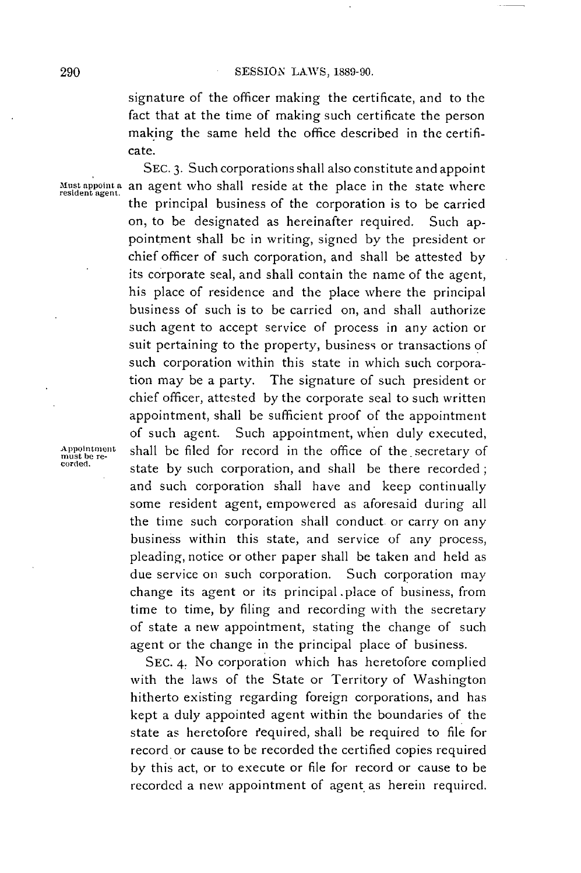signature of the officer making the certificate, and to the fact that at the time of making such certificate the person making the same held the office described in the certificate.

**SEC. 3.** Such corporations shall also constitute and appoint **Must appoint a** an wgtho shall reside at the place in the state where **resident agent.** the principal business of the corporation is to be carried on, to be designated as hereinafter required. Such appointment shall **be** in writing, signed **by** the president or chief officer of such corporation, and shall be attested **by** its corporate seal, and shall contain the name of the agent, his place of residence and the place where the principal business of such is to be carried on, and shall authorize such agent to accept service of *process* in any action or suit pertaining to the property, business or transactions **of** such corporation within this state in which such corporation may be a party. The signature of such president or chief officer, attested **by** the corporate seal to such written appointment, shall be sufficient proof of the appointment of such agent. Such appointment, when duly executed, shall be filed for record in the office of the secretary of state by such corporation, and shall be there recorded; and such corporation shall have and keep continually some resident agent, empowered as aforesaid during all the time such corporation shall conduct or carry on any business within this state, and service of any process, pleading, notice or other paper shall **be** taken and held as due service on such corporation. Such corporation may change its agent or its principal.place of business, from time to time, **by** filing and recording with the secretary of state a new appointment, stating the change of such agent or the change in the principal place of business.

> **SEC.** 4. No corporation which has heretofore complied with the laws of the State or Territory of Washington hitherto existing regarding foreign corporations, and has kept a duly appointed agent within the boundaries of the state as heretofore required, shall be required to file for record or cause to be recorded the certified copies required **by** this act, or to execute or file for record or cause to be recorded a new appointment of agent as herein required.

**Appointment**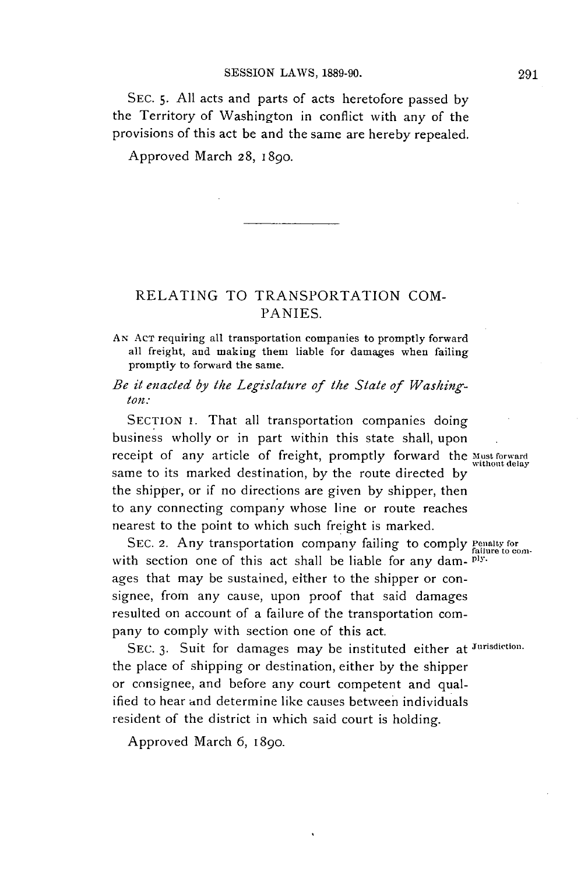**SEC. 5. All** acts and parts of acts heretofore passed **by** the Territory of Washington in conflict with any of the provisions of this act be and the same are hereby repealed.

Approved March **28,** 1890.

### **RELATING** TO TRANSPORTATION **COM-**PANIES.

- **AN ACT** requiring all transportation companies to promptly forward all freight, and making them liable for damages when failing promptly to forward the same.
- *Be it enacted by the Legislature of the State of Washington:*

**SECTION** I. That all transportation companies doing business wholly or in part within this state shall, upon receipt of any article of freight, promptly forward the **Mustforward** without delay same to its marked destination, **by** the route directed **by** the shipper, or if no directions are given **by** shipper, then to any connecting company whose line or route reaches nearest to the point to which such freight is marked.

SEC. 2. Any transportation company failing to comply **Fenalty** for failure to comwith section one of this act shall be liable for any dam- <sup>ply.</sup> ages that may be sustained, either to the shipper or consignee, from any cause, upon proof that said damages resulted on account of a failure of the transportation company to comply with section one of this act.

**SEC. 3.** Suit for damages may be instituted either at **Jurisdiction.** the place of shipping or destination, either **by** the shipper or consignee, and before any court competent and qualified to hear and determine like causes between individuals resident of the district in which said court is holding.

Approved March **6,** 1890.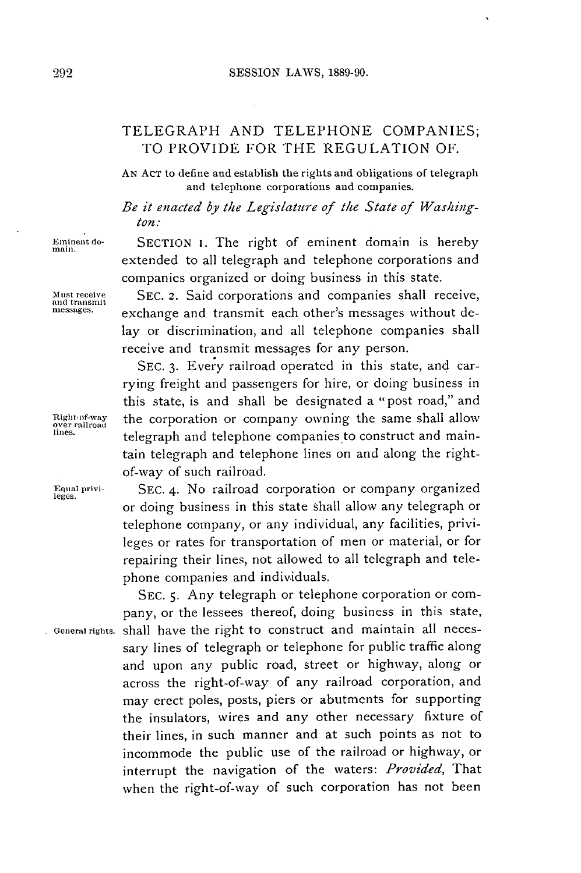## TELEGRAPH **AND TELEPHONE COMPANIES;** TO PROVIDE FOR THE **REGULATION** OF.

**AN AcT** to define and establish the rights and obligations of telegraph and telephone corporations and companies.

*Be it enacted by the Legislature of the State of Washington:*

extended to all telegraph and telephone corporations and companies organized or doing business in this state.

lay or discrimination, and all telephone companies shall

**SEC. 3.** Every railroad operated in this state, and carrying freight and passengers for hire, or doing business in this state, is and shall be designated a "post road," and

receive and transmit messages for any person.

of-way of such railroad.

Eminent do-<br>main. SECTION I. The right of eminent domain is hereby

**Must receive SEC.** 2. Said corporations and companies shall receive, and transmit **messages.** exchange and transmit each other's messages without de-

**Right-of-way**  Right of way the corporation or company owning the same shall allow<br>over railroad

**Equnal privi- SEC.** 4. No railroad corporation or company organized **leges.** or doing business in this state shall allow any telegraph or telephone company, or any individual, any facilities, privileges or rates for transportation of men or material, or for repairing their lines, not allowed to all telegraph and telephone companies and individuals.

**lines.** telegraph and telephone companies to construct and maintain telegraph and telephone lines on and along the right-

**SEC. 5.** Any telegraph or telephone corporation or company, or the lessees thereof, doing business in this state, **Generalrights.** shall have the right to construct and maintain all necessary lines of telegraph or telephone for public traffic along and upon any public road, street or highway, along or across the right-of-way of any railroad corporation, and may erect poles, posts, piers or abutments for supporting the insulators, wires and any other necessary fixture of their lines, in such manner and at such points as not to incommode the public use of the railroad or highway, or interrupt the navigation of the waters: *Provided, That* when the right-of-way of such corporation has not been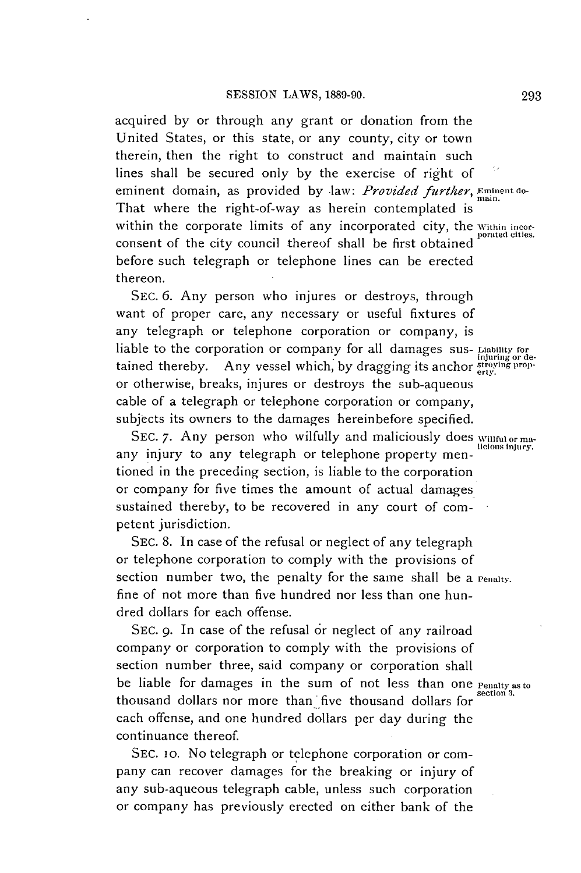acquired **by** or through any grant or donation from the United States, or this state, or any county, city or town therein, then the right to construct and maintain such lines shall be secured only **by** the exercise of right of eminent domain, as provided by law: *Provided further*, *Eminent do-*That where the right-of-way as herein contemplated is within the corporate limits of any incorporated city, the *Within incor*consent of the city council thereof shall be first obtained before such telegraph or telephone lines can be erected thereon.

**SEC. 6.** Any person who injures or destroys, through want of proper care, any necessary or useful fixtures of any telegraph or telephone corporation or company, is liable to the corporation or company for all damages **sus- Liability for injuring or de-**<br>tained thereby. Any vessel which, by dragging its anchor *stroying prop*or otherwise, breaks, injures or destroys the sub-aqueous cable of a telegraph or telephone corporation or company, subjects its owners to the damages hereinbefore specified.

SEC. 7. Any person who wilfully and maliciously does willful or maany injury to any telegraph or telephone property mentioned in the preceding section, is liable to the corporation or company for five times the amount of actual damages sustained thereby, to be recovered in any court of competent jurisdiction.

**SEC. 8.** In case of the refusal or neglect of any telegraph or telephone corporation to comply with the provisions of section number two, the penalty for the same shall be a **Penalty.** fine of not more than five hundred nor less than one hundred dollars for each offense.

**SEC. 9.** In case of the refusal or neglect of any railroad company or corporation to comply with the provisions of section number three, said company or corporation shall be liable for damages in the sum of not less than one **Penalty as to section 3.** thousand dollars nor more than five thousand dollars for each offense, and one hundred dollars per day during the continuance thereof.

**SEC.** io. No telegraph or telephone corporation or company can recover damages for the breaking or injury of any sub-aqueous telegraph cable, unless such corporation or company has previously erected on either bank of the

**licious injury.**

**293**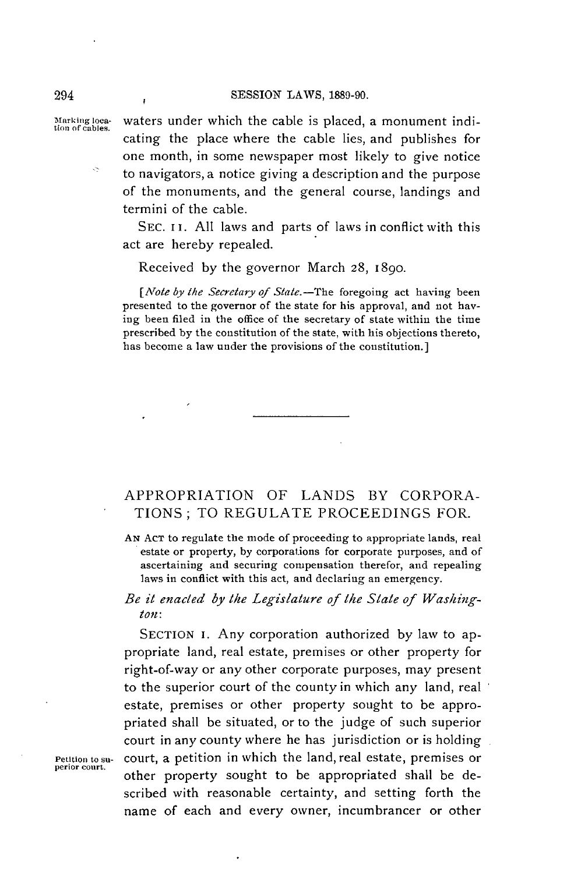$\overline{1}$ 

**Marking loca-** waters under which the cable is placed, a monument indi- **tion of cables.** cating the place where the cable lies, and publishes for one month, in some newspaper most likely to give notice to navigators, a notice giving a description and the purpose of the monuments, and the general course, landings and termini of the cable.

> SEC. II. All laws and parts of laws in conflict with this act are hereby repealed.

Received **by** the governor March **28,** 1890.

*[Note by the Secretary of State.*-The foregoing act having been presented to the governor of the state for his approval, and not having been filed in the office of the secretary of state within the time prescribed **by** the constitution of the state, with his objections thereto, has become a law under the provisions of the constitution.]

## APPROPRIATION OF **LANDS** BY CORPORA-**TIONS;** TO **REGULATE PROCEEDINGS** FOR.

**AN ACT** to regulate the mode of proceeding to appropriate lands, real estate or property, **by** corporations for corporate purposes, and of ascertaining and securing compensation therefor, and repealing laws in conflict with this act, and declaring an emergency.

*Be it enacted by* the *Legislature of the State of Washington:*

SECTION I. Any corporation authorized **by** law to appropriate land, real estate, premises or other property for right-of-way or any other corporate purposes, may present to the superior court of the county in which any land, real estate, premises or other property sought to be appropriated shall be situated, or to the judge of such superior court in any county where he has jurisdiction or is holding **Petition to sn-** court, a petition in which the land, real estate, premises or other property sought to be appropriated shall be described with reasonable certainty, and setting forth the name of each and every owner, incumbrancer or other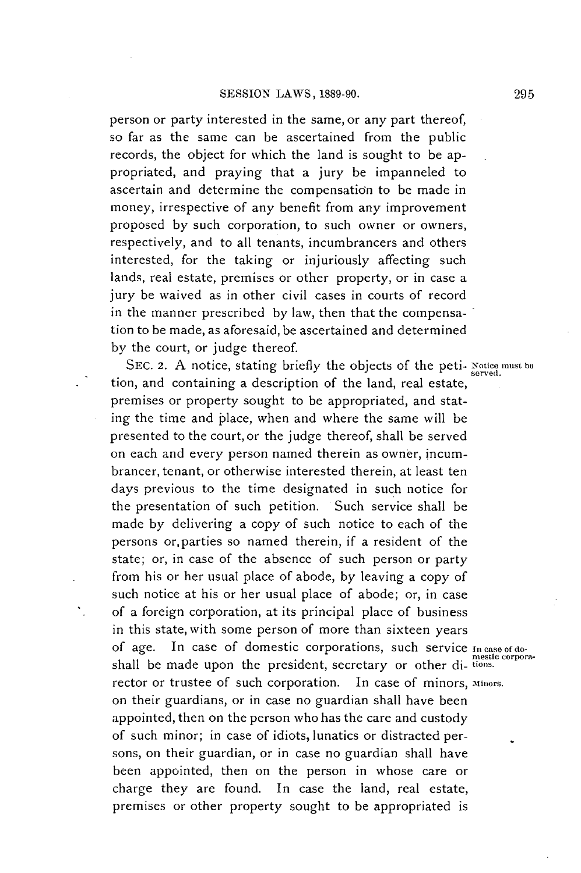person or party interested in the same, or any part thereof, so far as the same can be ascertained from the public records, the object for which the land is sought to be appropriated, and praying that a jury be impanneled to ascertain and determine the compensation to be made in money, irrespective of any benefit from any improvement proposed **by** such corporation, to such owner or owners, respectively, and to all tenants, incumbrancers and others interested, for the taking or injuriously affecting such lands, real estate, premises or other property, or in case a jury be waived as in other civil cases in courts of record in the manner prescribed **by** law, then that the compensation to be made, as aforesaid, be ascertained and determined **by** the court, or **judge** thereof.

SEC. 2. A notice, stating briefly the objects of the peti- Notice must be tion, and containing a description of the land, real estate, premises or property sought to be appropriated, and stating the time and place, when and where the same will be presented to the court, or the judge thereof, shall be served on each and every person named therein as owner, incumbrancer, tenant, or otherwise interested therein, at least ten days previous to the time designated in such notice for the presentation of such petition. Such service shall be made **by** delivering a copy of such notice to each of the persons or parties so named therein, if a resident of the state; or, in case of the absence of such person or party from his or her usual place of abode, **by** leaving a copy of such notice at his or her usual place of abode; or, in case of a foreign corporation, at its principal place of business in this state, with some person of more than sixteen years of age. In case of domestic corporations, such service  $I_n$  case of domestic corporashall be made upon the president, secretary or other di-tions. rector or trustee of such corporation. In case of minors, **Minors.** on their guardians, or in case no guardian shall have been appointed, then on the person who has the care and custody of such minor; in case of idiots, lunatics or distracted persons, on their guardian, or in case no guardian shall have been appointed, then on the person in whose care or charge they are found. In case the land, real estate, premises or other property sought to be appropriated is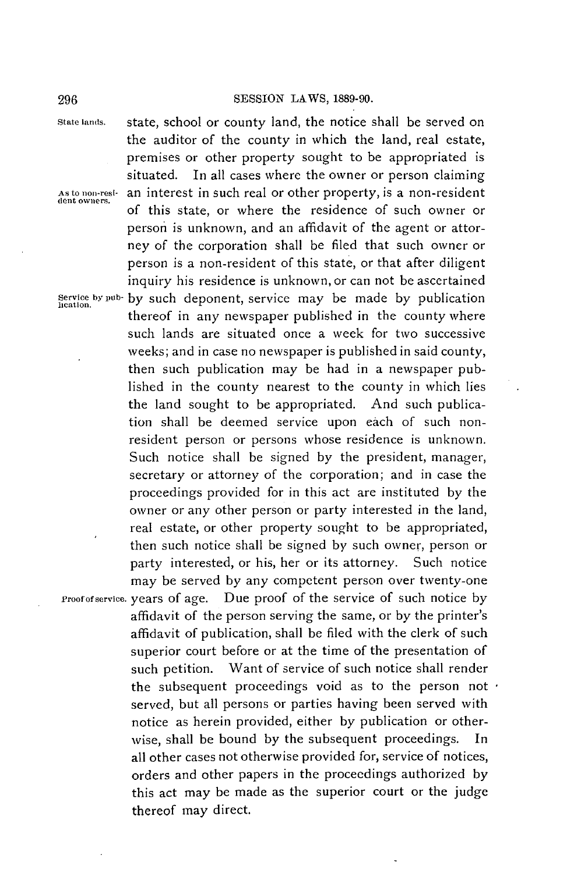**State lands.** state, school or county land, the notice shall be served on

**(lent owners.**

the auditor of the county in which the land, real estate, premises or other property sought to be appropriated is situated. In all cases where the owner or person claiming As to non-resi- an interest in such real or other property, is a non-resident of this state, or where the residence of such owner or person is unknown, and an affidavit of the agent or attorney of the corporation shall be filed that such owner or person is a non-resident of this state, or that after diligent inquiry his residence is unknown, or can not be ascertained **Service by pub- by** such deponent, service may be made **by** publication thereof in any newspaper published in the county where such lands are situated once a week for two successive weeks; and in case no newspaper is published in said county, then such publication may be had in a newspaper published in the county nearest to the county in which lies the land sought to **be** appropriated. And such publication shall be deemed service upon each of such nonresident person or persons whose residence is unknown. Such notice shall be signed **by** the president, manager, secretary or attorney of the corporation; and in case the proceedings provided for in this act are instituted **by** the owner or any other person or party interested in the land, real estate, or other property sought to be appropriated, then such notice shall be signed **by** such owner, person or party interested, or his, her or its attorney. Such notice may be served **by** any competent person over twenty-one **Proofofservice.** years of age. Due proof of the service of such notice **by** affidavit of the person serving the same, or **by** the printer's affidavit of publication, shall **be** filed with the clerk of such superior court before or at the time of the presentation of such petition. Want of service of such notice shall render the subsequent proceedings void as to the person not  $\cdot$ served, but all persons or parties having been served with notice as herein provided, either **by** publication or otherwise, shall be bound **by** the subsequent proceedings. In all other cases not otherwise provided for, service of notices, orders and other papers in the proceedings authorized **by** this act may be made as the superior court or the judge thereof may direct.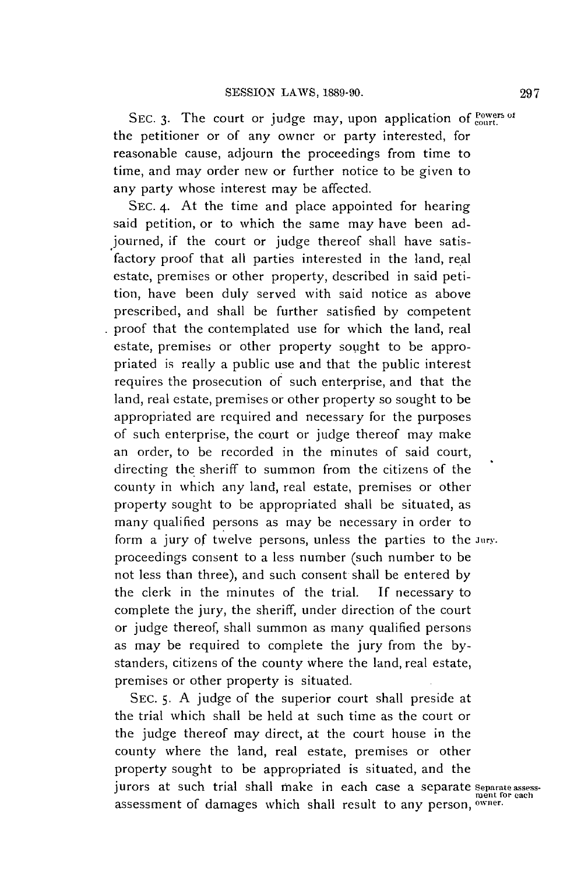SEC. 3. The court or judge may, upon application of **court.** the petitioner or of any owner or party interested, for reasonable cause, adjourn the proceedings from time to time, and may order new or further notice to be given to any party whose interest may be affected.

**SEC.** 4. At the time and place appointed for hearing said petition, or to which the same may have been adjourned, if the court or judge thereof shall have satisfactory proof that all parties interested in the land, real estate, premises or other property, described in said petition, have been duly served with said notice as above prescribed, and shall be further satisfied **by** competent proof that the contemplated use for which the land, real estate, premises or other property sought to be appropriated is really a public use and that the public interest requires the prosecution of such enterprise, and that the land, real estate, premises or other property so sought to be appropriated are required and necessary for the purposes of such enterprise, the court or judge thereof may make an order, to be recorded in the minutes of said court, directing the sheriff to summon from the citizens of the county in which any land, real estate, premises or other property sought to be appropriated shall be situated, as many qualified persons as may be necessary in order to form a jury of twelve persons, unless the parties to the **Jury.** proceedings consent to a less number (such number to be not less than three), and such consent shall **be** entered **by** the clerk in the minutes of the trial. **If** necessary to complete the jury, the sheriff, under direction of the court or judge thereof, shall summon as many qualified persons as may be required to complete the jury from the **by**standers, citizens of the county where the land, real estate, premises or other property is situated.

**SEC. 5. A** judge of the superior court shall preside at the trial which shall be held at such time as the court or the judge thereof may direct, at the court house in the county where the land, real estate, premises or other property sought to be appropriated is situated, and the jurors at such trial shall make in each case a separate separate assessassessment of damages which shall result to any person, owner.

**297**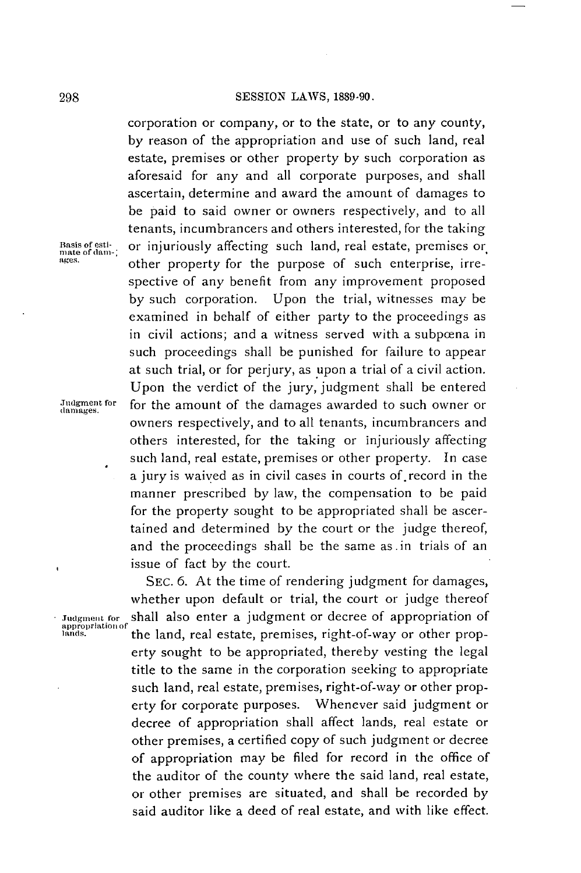corporation or company, or to the state, or to any county, **by** reason of the appropriation and use of such land, real estate, premises or other property **by** such corporation as aforesaid for any and all corporate purposes, and shall ascertain, determine and award the amount of damages to be paid to said owner or owners respectively, and to all tenants, incumbrancers and others interested, for the taking Basis of esti-<br>mate of dam-<br>**other property for the purpose of such enterprise, irre-**<br>ages. **other property for the purpose of such enterprise, irre**spective of any benefit from any improvement proposed **by** such corporation. Upon the trial, witnesses may be examined in behalf of either party to the proceedings as in civil actions; and a witness served with a subpœna in such proceedings shall be punished for failure to appear at such trial, or for perjury, as upon a trial of a civil action. Upon the verdict of the jury, judgment shall be entered **Jwdgment for** for the amount of the damages awarded to such owner or **damages.** owners respectively, and to all tenants, incumbrancers and others interested, for the taking or injuriously affecting such land, real estate, premises or other property. In case a jury is waived as in civil cases in courts of.record in the manner prescribed **by** law, the compensation to be paid for the property sought to be appropriated shall be ascertained and determined **by** the court or the judge thereof, and the proceedings shall be the same as.in trials of an issue of fact **by** the court.

> **SEC. 6.** At the time of rendering judgment for damages, whether upon default or trial, the court or judge thereof shall also enter a judgment or decree of appropriation of **lans.** the land, real estate, premises, right-of-way or other property sought to be appropriated, thereby vesting the legal title to the same in the corporation seeking to appropriate such land, real estate, premises, right-of-way or other property for corporate purposes. Whenever said judgment or decree of appropriation shall affect lands, real estate or other premises, a certified copy of such judgment or decree of appropriation may be filed for record in the office of the auditor of the county where the said land, real estate, or other premises are situated, and shall be recorded **by** said auditor like a deed of real estate, and with like effect.

Judgment for<br>appropriation of<br>lands,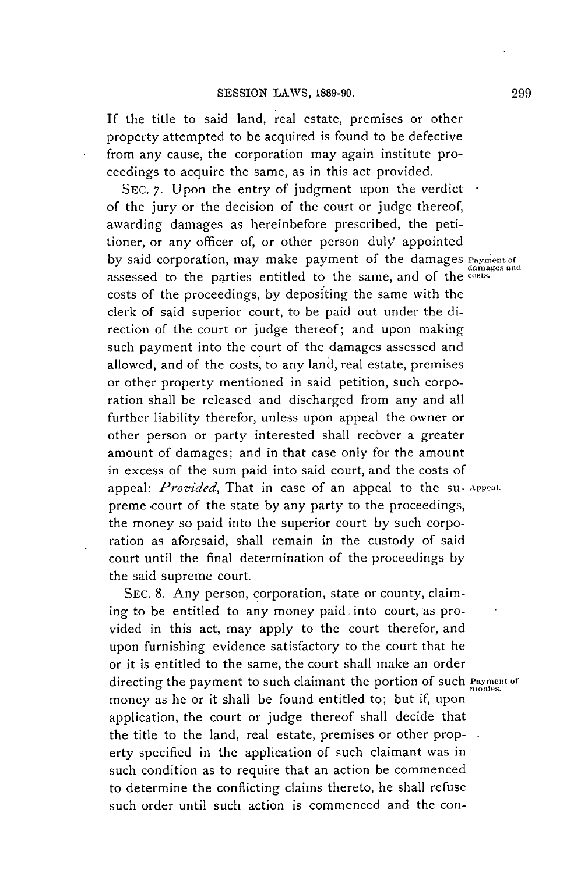**If** the title to said land, real estate, premises or other property attempted to be acquired is found to be defective from any cause, the corporation may again institute proceedings to acquire the same, as in this act provided.

**SEC. 7.** Upon the entry of judgment upon the verdict of the jury or the decision of the court or judge thereof, awarding damages as hereinbefore prescribed, the petitioner, or any officer of, or other person duly appointed by said corporation, may make payment of the damages *Payment* of damages and assessed to the parties entitled to the same, and of the **costs.** costs of the proceedings, **by** depositing the same with the clerk of said superior court, to be paid out under the direction of the court or judge thereof; and upon making such payment into the court of the damages assessed and allowed, and of the costs, to any land, real estate, premises or other property mentioned in said petition, such corporation shall be released and discharged from any and all further liability therefor, unless upon appeal the owner or other person or party interested shall recover a greater amount of damages; and in that case only for the amount in excess of the sum paid into said court, and the costs of appeal: *Provided*, That in case of an appeal to the su- Appeal. preme court of the state by any party to the proceedings, the money so paid into the superior court **by** such corporation as aforesaid, shall remain in the custody of said court until the final determination of the proceedings **by** the said supreme court.

**SEC. 8.** Any person, corporation, state or county, claiming to be entitled to any money paid into court, as provided in this act, may apply to the court therefor, and upon furnishing evidence satisfactory to the court that he or it is entitled to the same, the court shall make an order directing the payment to such claimant the portion of such **Payment of** money as he or it shall be found entitled to; but if, upon application, the court or judge thereof shall decide that the title to the land, real estate, premises or other property specified in the application of such claimant was in such condition as to require that an action be commenced to determine the conflicting claims thereto, he shall refuse such order until such action is commenced and the con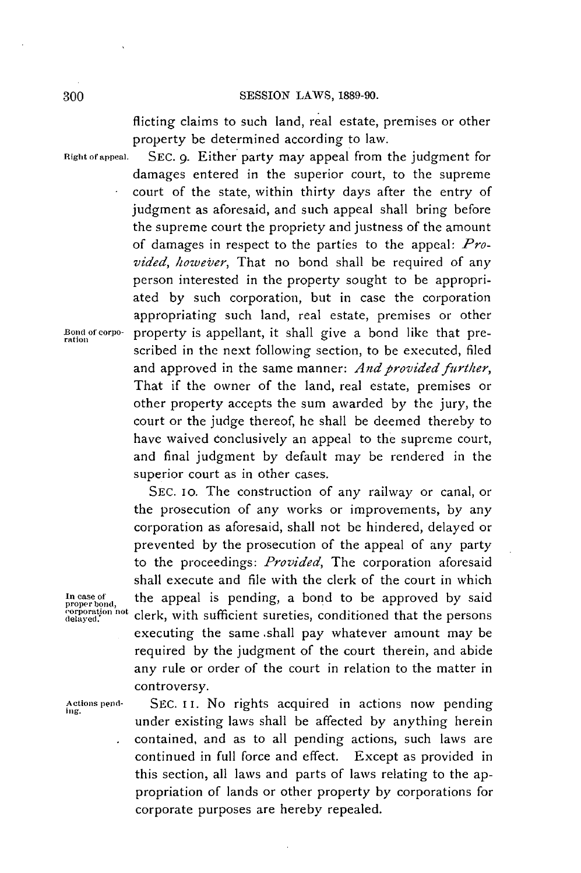flicting claims to such land, real estate, premises or other property be determined according to law.

**Right of appeal. SEC. 9.** Either party may appeal from the judgment for damages entered in the superior court, to the supreme court of the state, within thirty days after the entry of judgment as aforesaid, and such appeal shall bring before the supreme court the propriety and justness of the amount of damages in respect to the parties to the appeal: *Provided, however,* That no bond shall be required of any person interested in the property sought to be appropriated **by** such corporation, but in case the corporation appropriating such land, real estate, premises or other Bond of corpo- property is appellant, it shall give a bond like that prescribed in the next following section, to be executed, filed and approved in the same manner: *And provided further,* That if the owner of the land, real estate, premises or other property accepts the sum awarded **by** the jury, the court or the judge thereof, he shall be deemed thereby to have waived conclusively an appeal to the supreme court, and final judgment **by** default may be rendered in the superior court as in other cases.

**SEC. Io.** The construction of any railway or canal, or the prosecution of any works or improvements, **by** any corporation as aforesaid, shall not be hindered, delayed or prevented **by** the prosecution of the appeal of any party to the proceedings: *Provided,* The corporation aforesaid shall execute and file with the clerk of the court in which In case of **the appeal is pending, a bond to be approved by said proper bond, the person conditioned that the persons** *corporation not* clerk, with sufficient sureties, conditioned that the persons executing the same .shall pay whatever amount may be required **by** the judgment of the court therein, and abide any rule or order of the court in relation to the matter in controversy.

**Actions pend- SEC. ii.** No rights acquired in actions now pending *Ing.* under existing laws shall **be** affected **by** anything herein . contained, and as to all pending actions, such laws are continued in full force and effect. Except as provided in this section, all laws and parts of laws relating to the appropriation of lands or other property **by** corporations for corporate purposes are hereby repealed.